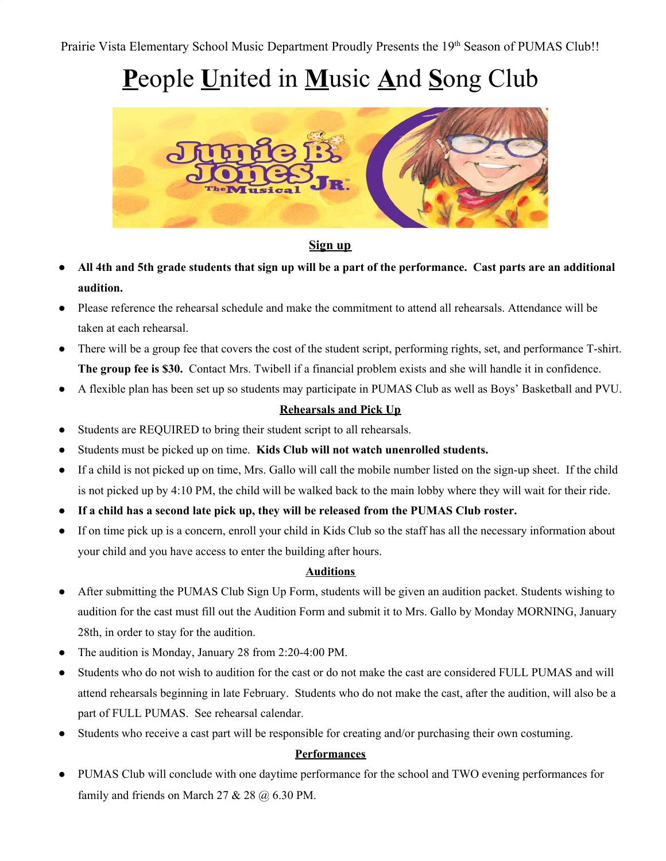# **P**eople **U**nited in **M**usic **A**nd **S**ong Club



#### **Sign up**

- All 4th and 5th grade students that sign up will be a part of the performance. Cast parts are an additional **audition.**
- Please reference the rehearsal schedule and make the commitment to attend all rehearsals. Attendance will be taken at each rehearsal.
- There will be a group fee that covers the cost of the student script, performing rights, set, and performance T-shirt. **The group fee is \$30.** Contact Mrs. Twibell if a financial problem exists and she will handle it in confidence.
- A flexible plan has been set up so students may participate in PUMAS Club as well as Boys' Basketball and PVU.

#### **Rehearsals and Pick Up**

- Students are REQUIRED to bring their student script to all rehearsals.
- Students must be picked up on time. **Kids Club will not watch unenrolled students.**
- If a child is not picked up on time, Mrs. Gallo will call the mobile number listed on the sign-up sheet. If the child is not picked up by 4:10 PM, the child will be walked back to the main lobby where they will wait for their ride.
- **● If a child has a second late pick up, they will be released from the PUMAS Club roster.**
- If on time pick up is a concern, enroll your child in Kids Club so the staff has all the necessary information about your child and you have access to enter the building after hours.

#### **Auditions**

- After submitting the PUMAS Club Sign Up Form, students will be given an audition packet. Students wishing to audition for the cast must fill out the Audition Form and submit it to Mrs. Gallo by Monday MORNING, January 28th, in order to stay for the audition.
- The audition is Monday, January 28 from 2:20-4:00 PM.
- Students who do not wish to audition for the cast or do not make the cast are considered FULL PUMAS and will attend rehearsals beginning in late February. Students who do not make the cast, after the audition, will also be a part of FULL PUMAS. See rehearsal calendar.
- Students who receive a cast part will be responsible for creating and/or purchasing their own costuming.

#### **Performances**

● PUMAS Club will conclude with one daytime performance for the school and TWO evening performances for family and friends on March  $27 & 28 & (a) 6.30$  PM.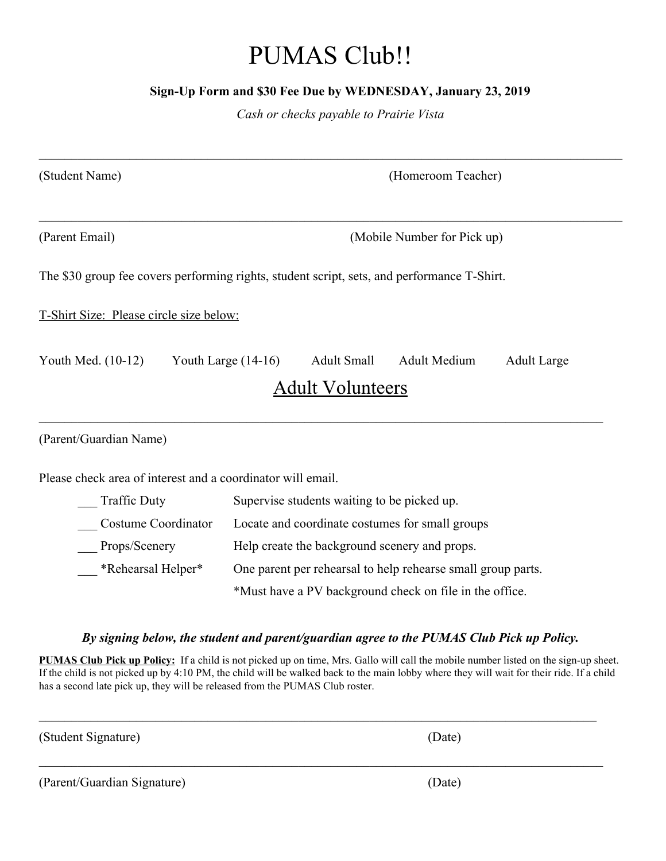## PUMAS Club!!

#### **Sign-Up Form and \$30 Fee Due by WEDNESDAY, January 23, 2019**

*Cash or checks payable to Prairie Vista*

| (Student Name)                                              | (Homeroom Teacher)                                                                                                  |
|-------------------------------------------------------------|---------------------------------------------------------------------------------------------------------------------|
| (Parent Email)                                              | (Mobile Number for Pick up)                                                                                         |
|                                                             | The \$30 group fee covers performing rights, student script, sets, and performance T-Shirt.                         |
| T-Shirt Size: Please circle size below:                     |                                                                                                                     |
| Youth Med. $(10-12)$                                        | Youth Large $(14-16)$<br><b>Adult Small</b><br><b>Adult Medium</b><br><b>Adult Large</b><br><b>Adult Volunteers</b> |
| (Parent/Guardian Name)                                      |                                                                                                                     |
| Please check area of interest and a coordinator will email. |                                                                                                                     |
| <b>Traffic Duty</b>                                         | Supervise students waiting to be picked up.                                                                         |
| Costume Coordinator                                         | Locate and coordinate costumes for small groups                                                                     |
| Props/Scenery                                               | Help create the background scenery and props.                                                                       |
| *Rehearsal Helper*                                          | One parent per rehearsal to help rehearse small group parts.                                                        |
|                                                             | *Must have a PV background check on file in the office.                                                             |

#### *By signing below, the student and parent/guardian agree to the PUMAS Club Pick up Policy.*

**PUMAS Club Pick up Policy:** If a child is not picked up on time, Mrs. Gallo will call the mobile number listed on the sign-up sheet. If the child is not picked up by 4:10 PM, the child will be walked back to the main lobby where they will wait for their ride. If a child has a second late pick up, they will be released from the PUMAS Club roster.

 $\_$  , and the contribution of the contribution of the contribution of the contribution of  $\mathcal{L}_\text{max}$ 

 $\mathcal{L}_\mathcal{L} = \{ \mathcal{L}_\mathcal{L} = \{ \mathcal{L}_\mathcal{L} = \{ \mathcal{L}_\mathcal{L} = \{ \mathcal{L}_\mathcal{L} = \{ \mathcal{L}_\mathcal{L} = \{ \mathcal{L}_\mathcal{L} = \{ \mathcal{L}_\mathcal{L} = \{ \mathcal{L}_\mathcal{L} = \{ \mathcal{L}_\mathcal{L} = \{ \mathcal{L}_\mathcal{L} = \{ \mathcal{L}_\mathcal{L} = \{ \mathcal{L}_\mathcal{L} = \{ \mathcal{L}_\mathcal{L} = \{ \mathcal{L}_\mathcal{$ 

(Student Signature) (Date)

(Parent/Guardian Signature) (Date)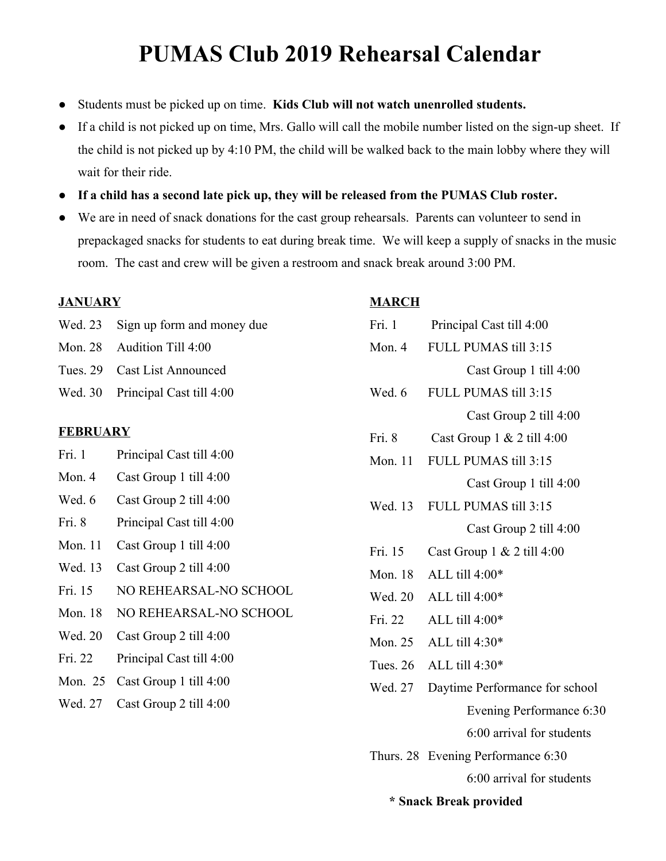### **PUMAS Club 2019 Rehearsal Calendar**

- Students must be picked up on time. Kids Club will not watch unenrolled students.
- If a child is not picked up on time, Mrs. Gallo will call the mobile number listed on the sign-up sheet. If the child is not picked up by 4:10 PM, the child will be walked back to the main lobby where they will wait for their ride.
- **● If a child has a second late pick up, they will be released from the PUMAS Club roster.**
- We are in need of snack donations for the cast group rehearsals. Parents can volunteer to send in prepackaged snacks for students to eat during break time. We will keep a supply of snacks in the music room. The cast and crew will be given a restroom and snack break around 3:00 PM.

#### **JANUARY**

- Wed. 23 Sign up form and money due
- Mon. 28 Audition Till 4:00
- Tues. 29 Cast List Announced
- Wed. 30 Principal Cast till 4:00

#### **FEBRUARY**

- Fri. 1 Principal Cast till 4:00
- Mon. 4 Cast Group 1 till 4:00
- Wed. 6 Cast Group 2 till 4:00
- Fri. 8 Principal Cast till 4:00
- Mon. 11 Cast Group 1 till 4:00
- Wed. 13 Cast Group 2 till 4:00
- Fri. 15 NO REHEARSAL-NO SCHOOL
- Mon. 18 NO REHEARSAL-NO SCHOOL
- Wed. 20 Cast Group 2 till 4:00
- Fri. 22 Principal Cast till 4:00
- Mon. 25 Cast Group 1 till 4:00
- Wed. 27 Cast Group 2 till 4:00

#### **MARCH**

|                        | Fri. 1     | Principal Cast till 4:00           |
|------------------------|------------|------------------------------------|
|                        | Mon. $4$   | FULL PUMAS till 3:15               |
|                        |            | Cast Group 1 till 4:00             |
|                        | Wed. 6     | FULL PUMAS till 3:15               |
|                        |            | Cast Group 2 till 4:00             |
|                        | Fri. 8     | Cast Group $1 & 2$ till 4:00       |
|                        | Mon. 11    | FULL PUMAS till 3:15               |
|                        |            | Cast Group 1 till 4:00             |
|                        | Wed. 13    | FULL PUMAS till 3:15               |
|                        |            | Cast Group 2 till 4:00             |
|                        | Fri. 15    | Cast Group 1 & 2 till 4:00         |
|                        | Mon. 18    | ALL till 4:00*                     |
|                        | Wed. 20    | ALL till 4:00*                     |
|                        | Fri. 22    | ALL till 4:00*                     |
|                        | Mon. 25    | ALL till 4:30*                     |
|                        | Tues. $26$ | ALL till 4:30*                     |
|                        | Wed. 27    | Daytime Performance for school     |
|                        |            | Evening Performance 6:30           |
|                        |            | 6:00 arrival for students          |
|                        |            | Thurs. 28 Evening Performance 6:30 |
|                        |            | 6:00 arrival for students          |
| * Snack Break provided |            |                                    |